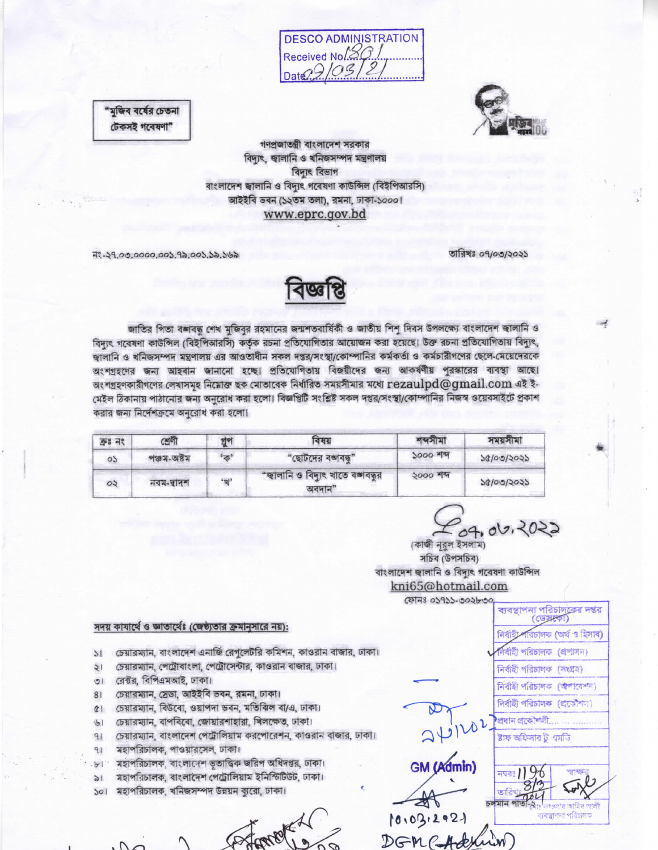**DESCO ADMINISTRATION** Received No.20



"মুজিব বর্ষের চেতনা টেকসই গবেষণা"

> গণপ্রজাতন্ত্রী বাংলাদেশ সরকার বিদ্যুৎ, জ্বালানি ও খনিজসম্পদ মন্ত্ৰণালয় বিদ্যুৎ বিভাগ বাংলাদেশ জ্বালানি ও বিদ্যুৎ গবেষণা কাউন্সিল (বিইপিআরসি) আইইবি ভবন (১২তম তলা), রমনা, ঢাকা-১০০০। www.eprc.gov.bd

नः - २१,०७,००००,००১,१৯,००১,১৯,১৬৯

তারিখঃ ০৭/০৩/২০২১

জাতির পিতা বজাবদ্ধ শেখ মুজিবুর রহমানের জন্মশতবার্ষিকী ও জাতীয় শিশু দিবস উপলক্ষ্যে বাংলাদেশ জালানি ও বিদ্যুৎ গবেষণা কাউন্সিল (বিইপিআরসি) কর্তৃক রচনা প্রতিযোগিতার আয়োজন করা হয়েছে। উক্ত রচনা প্রতিযোগিতায় বিদ্যুৎ, জ্বালানি ও খনিজসম্পদ মন্ত্রণালয় এর আওতাধীন সকল দপ্তর/সংস্থা/কোম্পানির কর্মকর্তা ও কর্মচারীগণের ছেলে-মেয়েদেরকে অংশগ্রহণের জন্য আহবান জানানো হচ্ছে। প্রতিযোগিতায় বিজয়ীদের জন্য আকর্ষণীয় পুরস্কারের ব্যবস্থা আছে। অংশগ্ৰহণকারীগণের লেখাসমূহ নিমোক্ত ছক মোতাবেক নির্ধারিত সময়সীমার মধ্যে rezaulpd@gmail.com এই ই-মেইল ঠিকানায় পাঠানোর জন্য অনুরোধ করা হলো। বিজ্ঞপ্তিটি সংশ্লিষ্ট সকল দপ্তর/সংস্থা/কোম্পানির নিজস্ব ওয়েবসাইটে প্রকাশ করার জন্য নির্দেশক্রমে অনুরোধ করা হলো।

10018

| $998 - 78$ | শ্ৰেণী                                                  | গুপ | বৰয়                                                   | শব্দমা         | সময়সামা   |
|------------|---------------------------------------------------------|-----|--------------------------------------------------------|----------------|------------|
| OS.        | $881 - 081$                                             | 'ক  | "ছোটদের বঙ্গবন্ধু"                                     | <b>2000 AM</b> | 50/00/2025 |
| $\circ$    | $\frac{1}{2}$ $\frac{1}{2}$ $\frac{1}{2}$ $\frac{1}{2}$ | "划" | "জ্বালানি ও বিদ্যুৎ খাতে বঙ্গাবন্ধুর<br>$\alpha$ বদান" | ২০০০ শব্দ      | २६/००/२०२२ |

09,06,2022

(কাজী নুরুল ইসলাম) সচিব (উপসচিব) বাংলাদেশ জ্বালানি ও বিদ্যুৎ গবেষণা কাউন্সিল kni65@hotmail.com

## সদয় কাযার্থে ও জ্ঞাতার্থেঃ (জেষ্ঠ্যতার ক্রমানুসারে নয়):

চেয়ারম্যান, বাংলাদেশ এনার্জি রেগুলেটরি কমিশন, কাওরান বাজার, ঢাকা।  $\mathbf{M}$ 

- চেয়ারম্যান, পেট্রোবাংলা, পেট্রোসেন্টার, কাওরান বাজার, ঢাকা।  $\frac{1}{2}$
- রেক্টর, বিপিএমআই, ঢাকা।  $\overline{5}$
- চেয়ারম্যান, স্রেডা, আইইবি ভবন, রমনা, ঢাকা।  $81$
- চেয়ারম্যান, বিউরো, ওয়াপদা ভবন, মতিঝিল বা/এ, ঢাকা।  $\alpha$
- চেয়ারম্যান, বাপবিবো, জোয়ারশাহারা, খিলক্ষেত, ঢাকা।  $\overline{\mathcal{G}}$
- চেয়ারম্যান, বাংলাদেশ পেট্রোলিয়াম করপোরেশন, কাওরান বাজার, ঢাকা।  $91$
- মহাপরিচালক, পাওয়ারসেল, ঢাকা।  $91$
- মহাপরিচালক, বাংলাদেশ ভূতাত্ত্বিক জরিপ অধিদপ্তর, ঢাকা।  $H$ .
- মহাপরিচালক, বাংলাদেশ পেট্রোলিয়াম ইনিস্টিউট, ঢাকা।  $\mathbf{M}$
- মহাপরিচালক, খনিজসম্পদ উন্নয়ন ব্যরো, ঢাকা।  $501$

Former

ফোনঃ ০১৭১১-৩০২৮৩০ ব্যবস্থাপনা পরিচালক্রের দন্তর (ডেসকো) রচালক (অর্থ ও হিসাব) নৰ্বাহী পৰিচালক (প্ৰশাসন) নিৰ্বাহী পরিচালক (সংগ্ৰহ) নিৰ্বাহী পৱিচালক (অপাৱেশন) নিৰ্বাহী পৰিচালক (প্ৰকৌশল) প্ৰধান প্ৰকৌশলী. ষ্টাফ অফিসার ট এমতি GM (Admin) জালি চলমান পাত

10.03.2021  $DGMC$